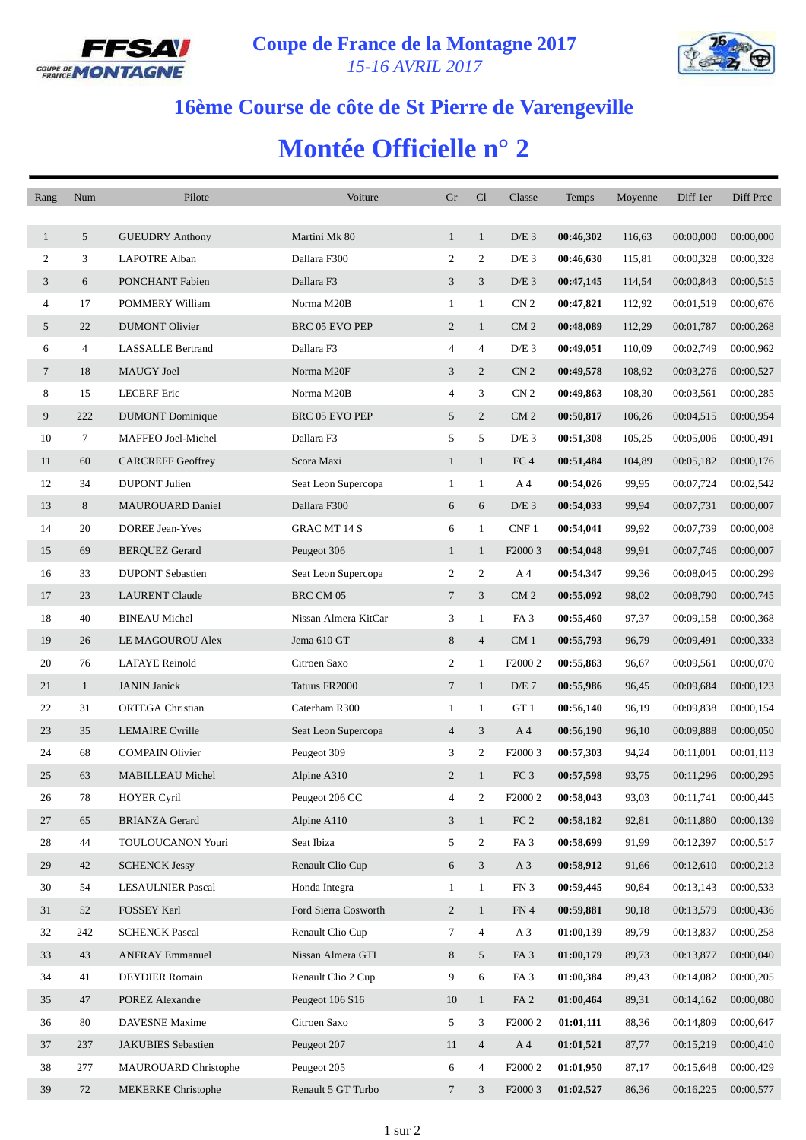



## **16ème Course de côte de St Pierre de Varengeville**

## **Montée Officielle n° 2**

| Rang           | Num            | Pilote                    | Voiture               | Gr             | Cl                      | Classe              | Temps     | Moyenne | Diff 1er  | Diff Prec |
|----------------|----------------|---------------------------|-----------------------|----------------|-------------------------|---------------------|-----------|---------|-----------|-----------|
|                |                |                           |                       |                |                         |                     |           |         |           |           |
| $\mathbf{1}$   | 5              | <b>GUEUDRY Anthony</b>    | Martini Mk 80         | $\mathbf{1}$   | $\mathbf{1}$            | $D/E$ 3             | 00:46,302 | 116,63  | 00:00,000 | 00:00,000 |
| 2              | 3              | <b>LAPOTRE Alban</b>      | Dallara F300          | 2              | 2                       | $D/E$ 3             | 00:46,630 | 115,81  | 00:00,328 | 00:00,328 |
| 3              | 6              | PONCHANT Fabien           | Dallara F3            | 3              | 3                       | $D/E$ 3             | 00:47,145 | 114,54  | 00:00,843 | 00:00,515 |
| $\overline{4}$ | 17             | POMMERY William           | Norma M20B            | $\mathbf{1}$   | $\mathbf{1}$            | CN <sub>2</sub>     | 00:47,821 | 112,92  | 00:01,519 | 00:00,676 |
| 5              | 22             | <b>DUMONT Olivier</b>     | BRC 05 EVO PEP        | 2              | $\mathbf{1}$            | CM <sub>2</sub>     | 00:48,089 | 112,29  | 00:01,787 | 00:00,268 |
| 6              | $\overline{4}$ | <b>LASSALLE Bertrand</b>  | Dallara F3            | 4              | $\overline{4}$          | $D/E$ 3             | 00:49,051 | 110,09  | 00:02,749 | 00:00,962 |
| $\tau$         | 18             | <b>MAUGY Joel</b>         | Norma M20F            | 3              | 2                       | CN <sub>2</sub>     | 00:49,578 | 108,92  | 00:03,276 | 00:00,527 |
| 8              | 15             | <b>LECERF</b> Eric        | Norma M20B            | 4              | 3                       | CN <sub>2</sub>     | 00:49,863 | 108,30  | 00:03,561 | 00:00,285 |
| 9              | 222            | <b>DUMONT</b> Dominique   | <b>BRC 05 EVO PEP</b> | 5              | $\overline{2}$          | CM <sub>2</sub>     | 00:50,817 | 106,26  | 00:04,515 | 00:00,954 |
| 10             | 7              | MAFFEO Joel-Michel        | Dallara F3            | 5              | 5                       | $D/E$ 3             | 00:51,308 | 105,25  | 00:05,006 | 00:00,491 |
| 11             | 60             | <b>CARCREFF Geoffrey</b>  | Scora Maxi            | $\mathbf{1}$   | $\mathbf{1}$            | FC <sub>4</sub>     | 00:51,484 | 104,89  | 00:05,182 | 00:00,176 |
| 12             | 34             | <b>DUPONT</b> Julien      | Seat Leon Supercopa   | $\mathbf{1}$   | $\mathbf{1}$            | A 4                 | 00:54,026 | 99,95   | 00:07,724 | 00:02,542 |
| 13             | 8              | <b>MAUROUARD Daniel</b>   | Dallara F300          | 6              | 6                       | $D/E$ 3             | 00:54,033 | 99,94   | 00:07,731 | 00:00,007 |
| 14             | 20             | <b>DOREE Jean-Yves</b>    | <b>GRAC MT 14 S</b>   | 6              | $\mathbf{1}$            | CNF1                | 00:54,041 | 99,92   | 00:07,739 | 00:00,008 |
| 15             | 69             | <b>BERQUEZ Gerard</b>     | Peugeot 306           | $\mathbf{1}$   | $\mathbf{1}$            | F2000 3             | 00:54,048 | 99,91   | 00:07,746 | 00:00,007 |
| 16             | 33             | <b>DUPONT</b> Sebastien   | Seat Leon Supercopa   | $\overline{c}$ | 2                       | A 4                 | 00:54,347 | 99,36   | 00:08,045 | 00:00,299 |
| 17             | 23             | <b>LAURENT Claude</b>     | BRC CM 05             | $\overline{7}$ | 3                       | CM <sub>2</sub>     | 00:55,092 | 98,02   | 00:08,790 | 00:00,745 |
| 18             | 40             | <b>BINEAU Michel</b>      | Nissan Almera KitCar  | 3              | $\mathbf{1}$            | FA <sub>3</sub>     | 00:55,460 | 97,37   | 00:09,158 | 00:00,368 |
| 19             | 26             | LE MAGOUROU Alex          | Jema 610 GT           | 8              | $\overline{4}$          | CM <sub>1</sub>     | 00:55,793 | 96,79   | 00:09,491 | 00:00,333 |
| 20             | 76             | <b>LAFAYE</b> Reinold     | Citroen Saxo          | $\overline{c}$ | $\mathbf{1}$            | F <sub>2000</sub> 2 | 00:55,863 | 96,67   | 00:09,561 | 00:00,070 |
| 21             | $\mathbf{1}$   | <b>JANIN</b> Janick       | Tatuus FR2000         | $\tau$         | $\mathbf{1}$            | D/E 7               | 00:55,986 | 96,45   | 00:09,684 | 00:00,123 |
| 22             | 31             | <b>ORTEGA</b> Christian   | Caterham R300         | $\mathbf{1}$   | $\mathbf{1}$            | GT 1                | 00:56,140 | 96,19   | 00:09,838 | 00:00,154 |
| 23             | 35             | <b>LEMAIRE</b> Cyrille    | Seat Leon Supercopa   | $\overline{4}$ | 3                       | A 4                 | 00:56,190 | 96,10   | 00:09,888 | 00:00,050 |
| 24             | 68             | <b>COMPAIN Olivier</b>    | Peugeot 309           | 3              | 2                       | F <sub>2000</sub> 3 | 00:57,303 | 94,24   | 00:11,001 | 00:01,113 |
| 25             | 63             | <b>MABILLEAU Michel</b>   | Alpine A310           | $\overline{c}$ | $\mathbf{1}$            | FC <sub>3</sub>     | 00:57,598 | 93,75   | 00:11,296 | 00:00,295 |
| 26             | 78             | <b>HOYER Cyril</b>        | Peugeot 206 CC        | 4              | $\overline{\mathbf{c}}$ | F2000 2             | 00:58,043 | 93,03   | 00:11,741 | 00:00,445 |
| 27             | 65             | <b>BRIANZA Gerard</b>     | Alpine A110           | 3              | $\mathbf{1}$            | $FC 2$              | 00:58,182 | 92,81   | 00:11,880 | 00:00,139 |
| 28             | 44             | TOULOUCANON Youri         | Seat Ibiza            | 5              | $\overline{2}$          | FA <sub>3</sub>     | 00:58,699 | 91,99   | 00:12,397 | 00:00,517 |
| 29             | 42             | <b>SCHENCK Jessy</b>      | Renault Clio Cup      | 6              | $\mathfrak{Z}$          | $A_3$               | 00:58,912 | 91,66   | 00:12,610 | 00:00,213 |
| 30             | 54             | <b>LESAULNIER Pascal</b>  | Honda Integra         | $\mathbf{1}$   | $\mathbf{1}$            | FN 3                | 00:59,445 | 90,84   | 00:13,143 | 00:00,533 |
| 31             | 52             | FOSSEY Karl               | Ford Sierra Cosworth  | $\overline{c}$ | $\mathbf{1}$            | FN 4                | 00:59,881 | 90,18   | 00:13,579 | 00:00,436 |
| 32             | 242            | <b>SCHENCK Pascal</b>     | Renault Clio Cup      | 7              | $\overline{4}$          | A <sub>3</sub>      | 01:00,139 | 89,79   | 00:13,837 | 00:00,258 |
| 33             | 43             | <b>ANFRAY Emmanuel</b>    | Nissan Almera GTI     | 8              | 5                       | FA <sub>3</sub>     | 01:00,179 | 89,73   | 00:13,877 | 00:00,040 |
| 34             | 41             | <b>DEYDIER</b> Romain     | Renault Clio 2 Cup    | 9              | 6                       | FA <sub>3</sub>     | 01:00,384 | 89,43   | 00:14,082 | 00:00,205 |
| 35             | 47             | POREZ Alexandre           | Peugeot 106 S16       | 10             | $\mathbf{1}$            | FA <sub>2</sub>     | 01:00,464 | 89,31   | 00:14,162 | 00:00,080 |
| 36             | 80             | DAVESNE Maxime            | Citroen Saxo          | 5              | 3                       | F <sub>2000</sub> 2 | 01:01,111 | 88,36   | 00:14,809 | 00:00,647 |
| 37             | 237            | JAKUBIES Sebastien        | Peugeot 207           | 11             | $\overline{4}$          | A <sub>4</sub>      | 01:01,521 | 87,77   | 00:15,219 | 00:00,410 |
| 38             | 277            | MAUROUARD Christophe      | Peugeot 205           | 6              | 4                       | F <sub>2000</sub> 2 | 01:01,950 | 87,17   | 00:15,648 | 00:00,429 |
| 39             | 72             | <b>MEKERKE</b> Christophe | Renault 5 GT Turbo    | 7              | 3                       | F <sub>2000</sub> 3 | 01:02,527 | 86,36   | 00:16,225 | 00:00,577 |